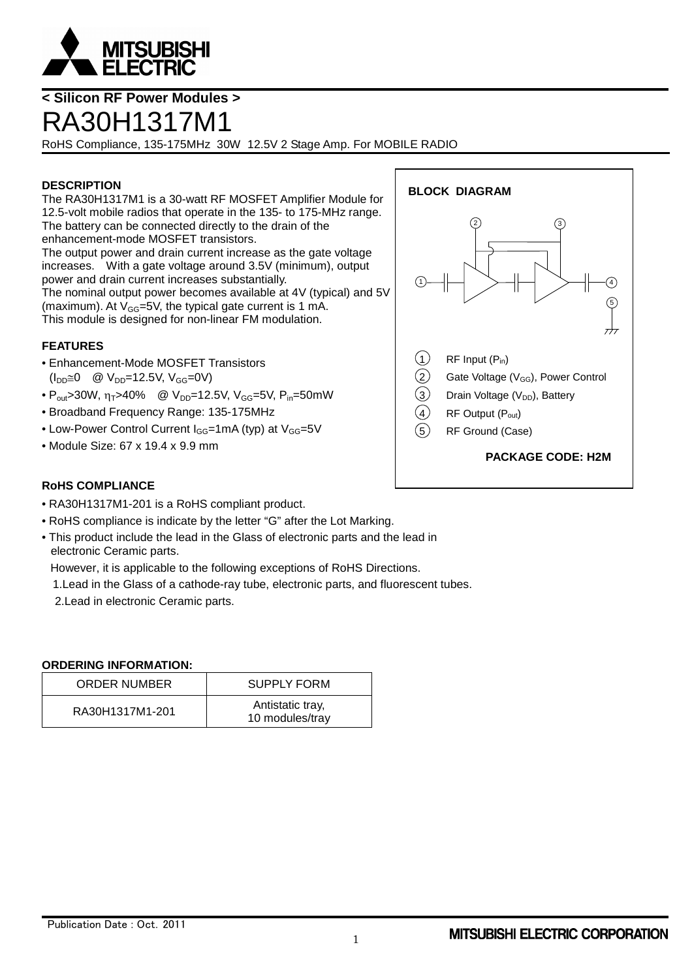

## **< Silicon RF Power Modules >**

# RA30H1317M1

RoHS Compliance, 135-175MHz 30W 12.5V 2 Stage Amp. For MOBILE RADIO

## **DESCRIPTION**

The RA30H1317M1 is a 30-watt RF MOSFET Amplifier Module for 12.5-volt mobile radios that operate in the 135- to 175-MHz range. The battery can be connected directly to the drain of the enhancement-mode MOSFET transistors. The output power and drain current increase as the gate voltage increases. With a gate voltage around 3.5V (minimum), output power and drain current increases substantially. The nominal output power becomes available at 4V (typical) and 5V (maximum). At  $V_{GG}$ =5V, the typical gate current is 1 mA. This module is designed for non-linear FM modulation.

## **FEATURES**

- Enhancement-Mode MOSFET Transistors  $(I_{DD} \cong 0 \quad \textcircled{a} \ \text{V}_{DD} = 12.5 \text{V}, \ \text{V}_{GG} = 0 \text{V}$
- $P_{\text{out}} > 30W$ ,  $\eta_T > 40\%$  @  $V_{\text{DD}} = 12.5V$ ,  $V_{\text{GG}} = 5V$ ,  $P_{\text{in}} = 50mW$
- Broadband Frequency Range: 135-175MHz
- Low-Power Control Current  $I_{GG}$ =1mA (typ) at  $V_{GG}$ =5V
- Module Size: 67 x 19.4 x 9.9 mm



## **RoHS COMPLIANCE**

- RA30H1317M1-201 is a RoHS compliant product.
- RoHS compliance is indicate by the letter "G" after the Lot Marking.
- This product include the lead in the Glass of electronic parts and the lead in electronic Ceramic parts.

However, it is applicable to the following exceptions of RoHS Directions.

1.Lead in the Glass of a cathode-ray tube, electronic parts, and fluorescent tubes.

2.Lead in electronic Ceramic parts.

## **ORDERING INFORMATION:**

| <b>ORDER NUMBER</b> | <b>SUPPLY FORM</b>                  |
|---------------------|-------------------------------------|
| RA30H1317M1-201     | Antistatic tray,<br>10 modules/tray |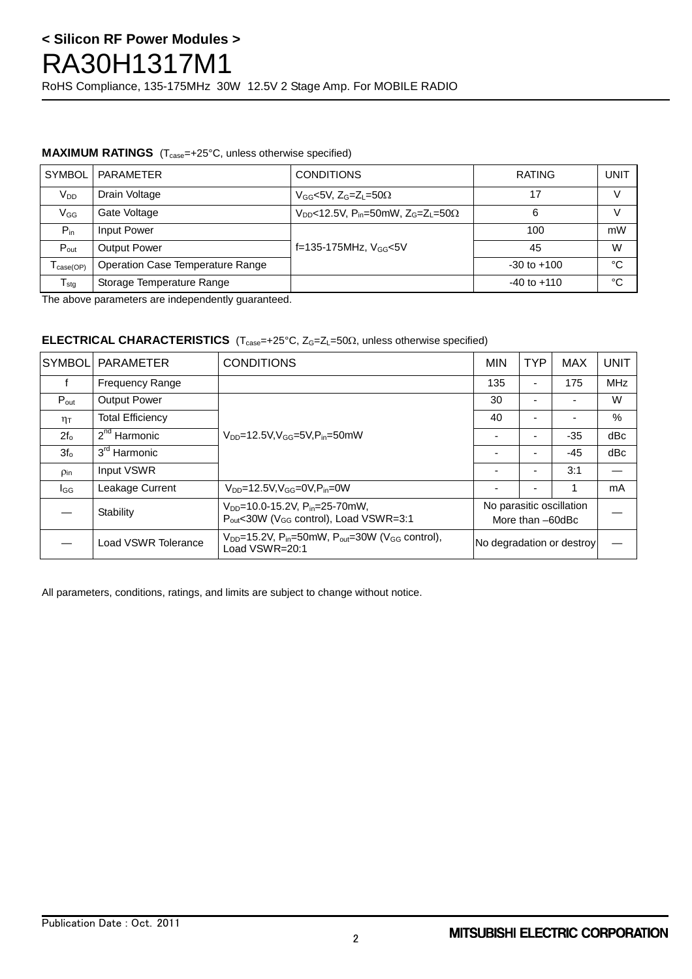## **< Silicon RF Power Modules >** RA30H1317M1 RoHS Compliance, 135-175MHz 30W 12.5V 2 Stage Amp. For MOBILE RADIO

## **MAXIMUM RATINGS** (T<sub>case</sub>=+25°C, unless otherwise specified)

| <b>SYMBOL</b>                | <b>PARAMETER</b>                 | <b>CONDITIONS</b>                                                                   | <b>RATING</b>   | UNIT |
|------------------------------|----------------------------------|-------------------------------------------------------------------------------------|-----------------|------|
| V <sub>DD</sub>              | Drain Voltage                    | $V_{GG}$ <5V, $Z_{G}$ =Z <sub>l</sub> =50 $\Omega$                                  |                 |      |
| $V_{GG}$                     | Gate Voltage                     | $V_{DD}$ <12.5V, P <sub>in</sub> =50mW, Z <sub>G</sub> =Z <sub>L</sub> =50 $\Omega$ | 6               | V    |
| $P_{in}$                     | Input Power                      |                                                                                     | 100             | mW   |
| $P_{\text{out}}$             | <b>Output Power</b>              | f=135-175MHz, $V_{GG}$ <5V                                                          | 45              | W    |
| $T_{\text{case}(\text{OP})}$ | Operation Case Temperature Range |                                                                                     | $-30$ to $+100$ | °C   |
| $T_{\text{stg}}$             | Storage Temperature Range        |                                                                                     | $-40$ to $+110$ | °C   |

The above parameters are independently guaranteed.

## **ELECTRICAL CHARACTERISTICS**  $(T_{case} = +25^{\circ}C, Z_G = Z_L = 50\Omega,$  unless otherwise specified)

| İSYMBOL          | <b>PARAMETER</b>         | <b>CONDITIONS</b>                                                                                                 |                                              | <b>TYP</b> | <b>MAX</b> | <b>UNIT</b> |
|------------------|--------------------------|-------------------------------------------------------------------------------------------------------------------|----------------------------------------------|------------|------------|-------------|
|                  | <b>Frequency Range</b>   |                                                                                                                   | 135                                          |            | 175        | <b>MHz</b>  |
| $P_{\text{out}}$ | <b>Output Power</b>      | $V_{DD} = 12.5 V, V_{GG} = 5V, P_{in} = 50 mW$                                                                    |                                              |            |            | W           |
| $n_{\text{T}}$   | <b>Total Efficiency</b>  |                                                                                                                   |                                              |            |            | $\%$        |
| $2f_{o}$         | $2nd$ Harmonic           |                                                                                                                   |                                              |            | $-35$      | dBc         |
| $3f_{0}$         | 3 <sup>rd</sup> Harmonic |                                                                                                                   |                                              |            | $-45$      | dBc         |
| Pin              | Input VSWR               |                                                                                                                   |                                              |            | 3:1        |             |
| l <sub>GG</sub>  | Leakage Current          | $V_{DD} = 12.5 V, V_{GG} = 0 V, P_{in} = 0 W$                                                                     |                                              |            |            | mA          |
|                  | Stability                | $V_{DD}$ =10.0-15.2V, P <sub>in</sub> =25-70mW,<br>P <sub>out</sub> <30W (V <sub>GG</sub> control), Load VSWR=3:1 | No parasitic oscillation<br>More than -60dBc |            |            |             |
|                  | Load VSWR Tolerance      | $V_{DD}$ =15.2V, P <sub>in</sub> =50mW, P <sub>out</sub> =30W (V <sub>GG</sub> control),<br>Load VSWR=20:1        | No degradation or destroy                    |            |            |             |

All parameters, conditions, ratings, and limits are subject to change without notice.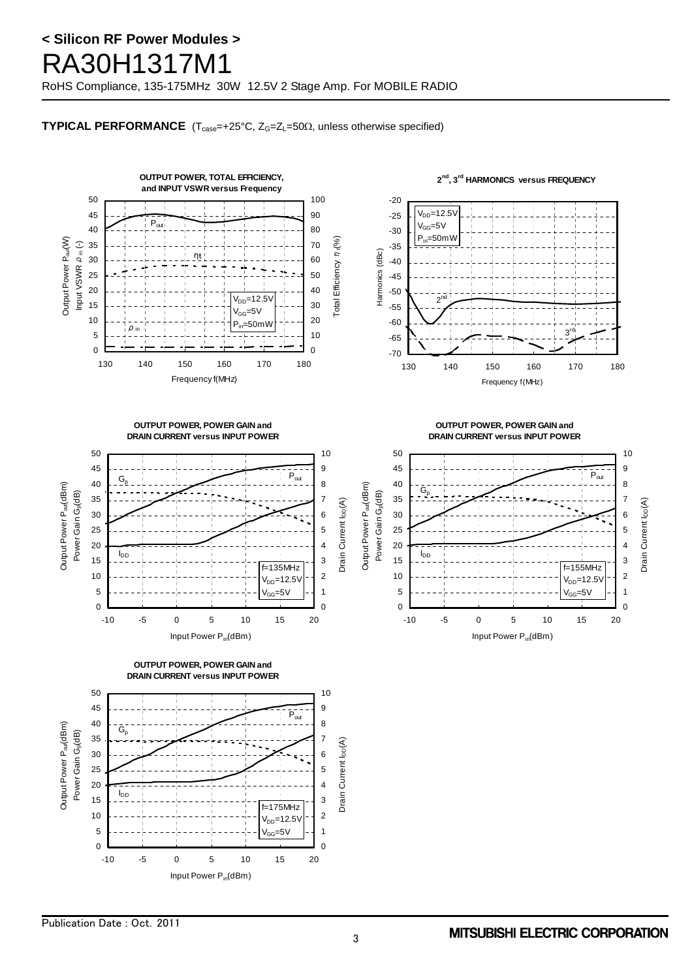# **< Silicon RF Power Modules >** RA30H1317M1

RoHS Compliance, 135-175MHz 30W 12.5V 2 Stage Amp. For MOBILE RADIO

## **TYPICAL PERFORMANCE**  $(T_{case} = +25^{\circ}C, Z_{G} = Z_{L} = 50\Omega,$  unless otherwise specified)

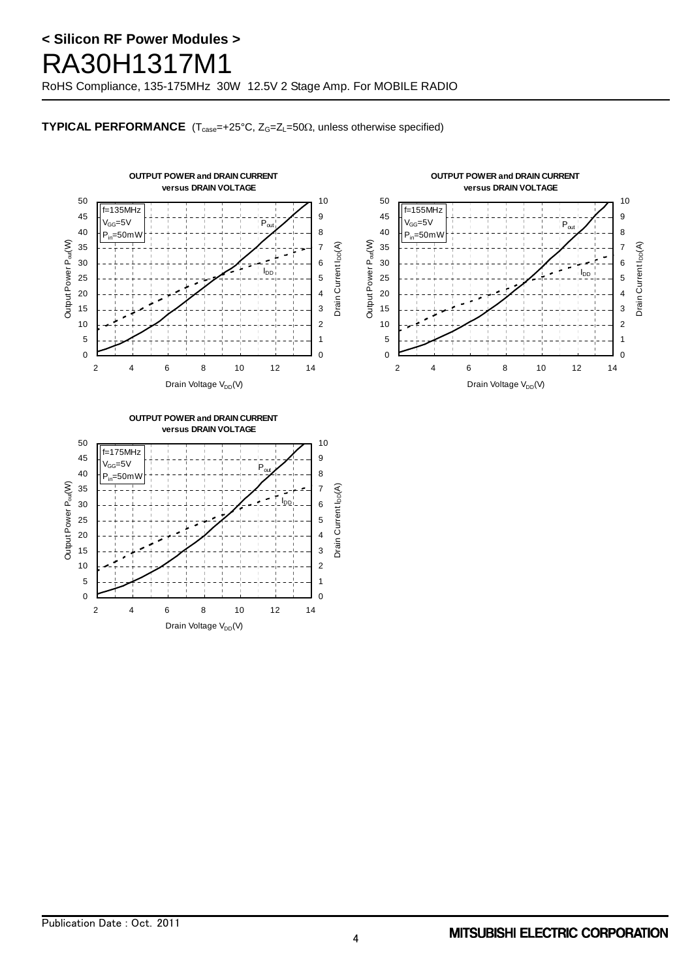# **< Silicon RF Power Modules >** RA30H1317M1

RoHS Compliance, 135-175MHz 30W 12.5V 2 Stage Amp. For MOBILE RADIO

## **TYPICAL PERFORMANCE**  $(T_{case} = +25^{\circ}C, Z_{G} = Z_{L} = 50\Omega,$  unless otherwise specified)



Drain Voltage V<sub>DD</sub>(V)

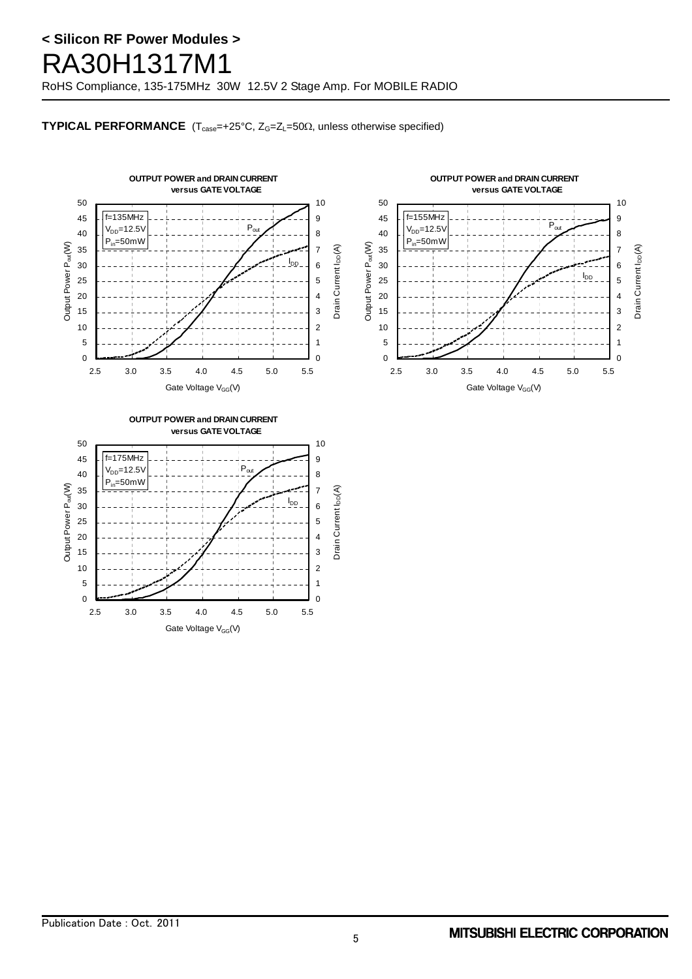# **< Silicon RF Power Modules >** RA30H1317M1

RoHS Compliance, 135-175MHz 30W 12.5V 2 Stage Amp. For MOBILE RADIO

## **TYPICAL PERFORMANCE**  $(T_{case} = +25^{\circ}C, Z_{G} = Z_{L} = 50\Omega,$  unless otherwise specified)



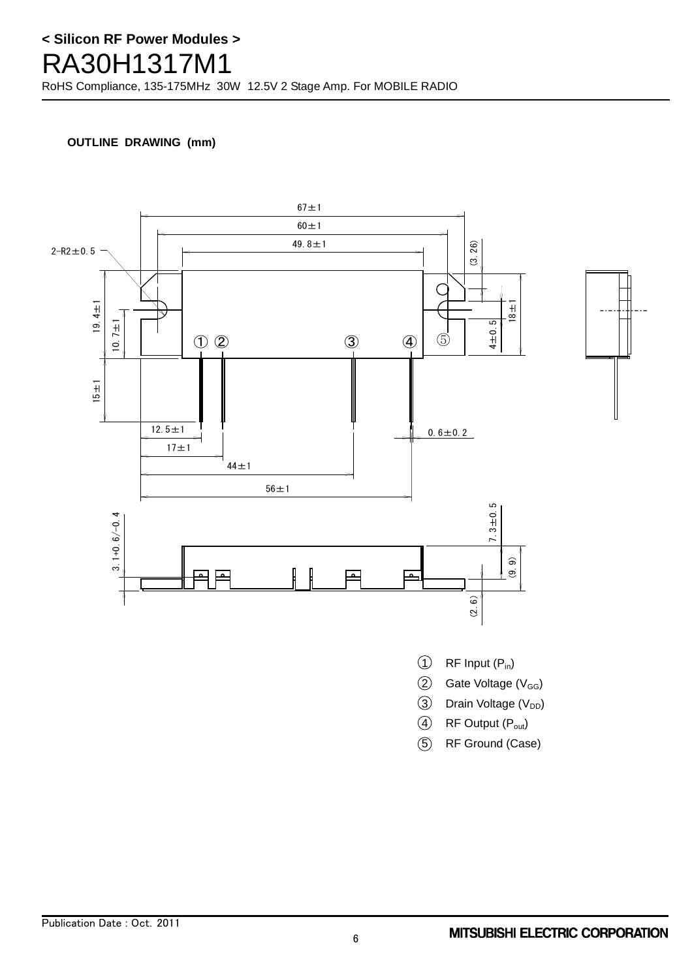# **< Silicon RF Power Modules >** RA30H1317M1 RoHS Compliance, 135-175MHz 30W 12.5V 2 Stage Amp. For MOBILE RADIO

## **OUTLINE DRAWING (mm)**



5 RF Ground (Case)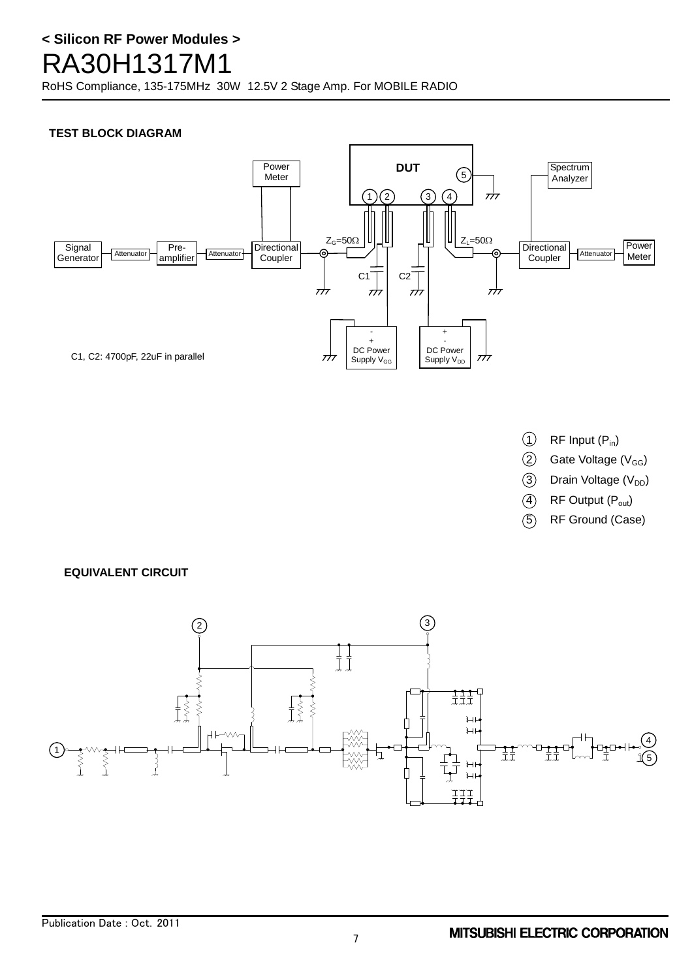RoHS Compliance, 135-175MHz 30W 12.5V 2 Stage Amp. For MOBILE RADIO

## **TEST BLOCK DIAGRAM**



- $(1)$  RF Input  $(P_{in})$
- $(2)$  Gate Voltage (V<sub>GG</sub>)
- $(3)$  Drain Voltage (V<sub>DD</sub>)
- $(4)$  RF Output  $(P_{out})$
- 5 RF Ground (Case)

## **EQUIVALENT CIRCUIT**

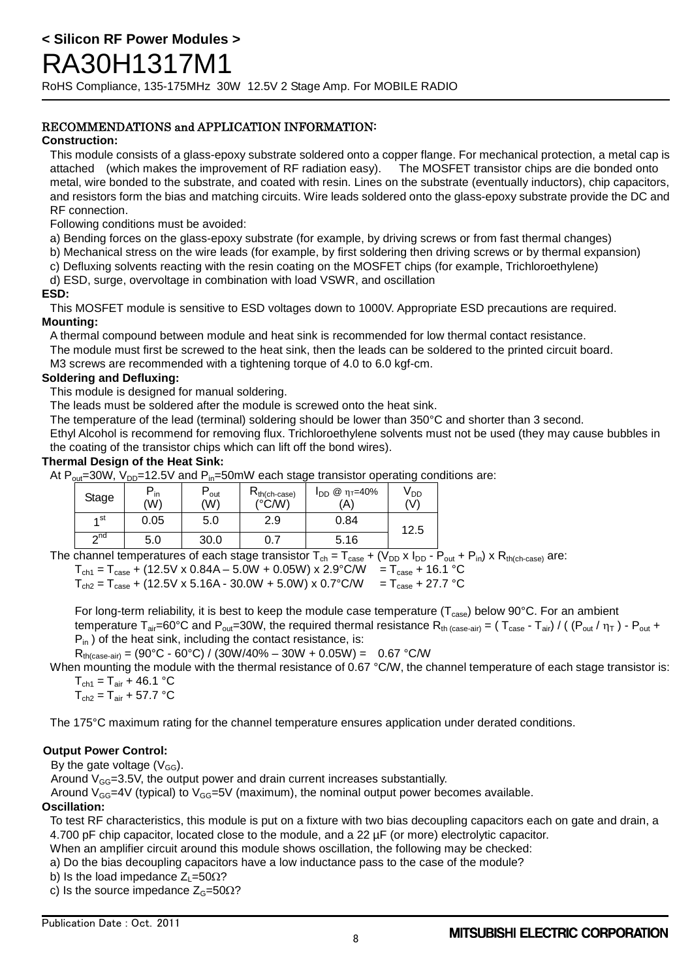## RECOMMENDATIONS and APPLICATION INFORMATION:

## **Construction:**

This module consists of a glass-epoxy substrate soldered onto a copper flange. For mechanical protection, a metal cap is attached (which makes the improvement of RF radiation easy). The MOSFET transistor chips are die bonded onto metal, wire bonded to the substrate, and coated with resin. Lines on the substrate (eventually inductors), chip capacitors, and resistors form the bias and matching circuits. Wire leads soldered onto the glass-epoxy substrate provide the DC and RF connection.

Following conditions must be avoided:

a) Bending forces on the glass-epoxy substrate (for example, by driving screws or from fast thermal changes)

b) Mechanical stress on the wire leads (for example, by first soldering then driving screws or by thermal expansion)

c) Defluxing solvents reacting with the resin coating on the MOSFET chips (for example, Trichloroethylene)

d) ESD, surge, overvoltage in combination with load VSWR, and oscillation

## **ESD:**

This MOSFET module is sensitive to ESD voltages down to 1000V. Appropriate ESD precautions are required. **Mounting:**

A thermal compound between module and heat sink is recommended for low thermal contact resistance.

The module must first be screwed to the heat sink, then the leads can be soldered to the printed circuit board.

M3 screws are recommended with a tightening torque of 4.0 to 6.0 kgf-cm.

## **Soldering and Defluxing:**

This module is designed for manual soldering.

The leads must be soldered after the module is screwed onto the heat sink.

The temperature of the lead (terminal) soldering should be lower than 350°C and shorter than 3 second.

Ethyl Alcohol is recommend for removing flux. Trichloroethylene solvents must not be used (they may cause bubbles in the coating of the transistor chips which can lift off the bond wires).

## **Thermal Design of the Heat Sink:**

At  $P_{\text{out}}$ =30W,  $V_{\text{DD}}$ =12.5V and  $P_{\text{in}}$ =50mW each stage transistor operating conditions are:

| Stage     | $^-$ in<br>(W) | out<br>(W) | $R_{th(ch-case)}$<br>(°C/W) | @ η <sub>τ</sub> =40%<br>ldd i<br>'A) | <sup>V</sup> DD<br>(V) |
|-----------|----------------|------------|-----------------------------|---------------------------------------|------------------------|
| ⊿ st      | 0.05           | 5.0        | 2.9                         | 0.84                                  | 12.5                   |
| $\sim$ nd | 5.0            | 30.0       | 0.7                         | 5.16                                  |                        |

The channel temperatures of each stage transistor  $T_{ch} = T_{case} + (V_{DD} \times I_{DD} - P_{out} + P_{in}) \times R_{th(ch-case)}$  are:

 $T_{\text{ch1}} = T_{\text{case}} + (12.5 \text{V} \times 0.84 \text{A} - 5.0 \text{W} + 0.05 \text{W}) \times 2.9^{\circ} \text{C/W} = T_{\text{case}} + 16.1^{\circ} \text{C}$ 

 $T_{\text{ch2}} = T_{\text{case}} + (12.5 \text{V} \times 5.16 \text{A} - 30.0 \text{W} + 5.0 \text{W}) \times 0.7 \text{°C/W} = T_{\text{case}} + 27.7 \text{ °C}$ 

For long-term reliability, it is best to keep the module case temperature ( $T_{\text{case}}$ ) below 90°C. For an ambient temperature T<sub>air</sub>=60°C and P<sub>out</sub>=30W, the required thermal resistance R<sub>th (case-air)</sub> = (T<sub>case</sub> - T<sub>air</sub>) / ((P<sub>out</sub> /  $\eta_T$ ) - P<sub>out</sub> +  $P_{in}$ ) of the heat sink, including the contact resistance, is:

 $R_{th (case-air)} = (90 °C - 60 °C) / (30 W/40 % - 30 W + 0.05 W) = 0.67 °C/W$ 

When mounting the module with the thermal resistance of 0.67 °C/W, the channel temperature of each stage transistor is:  $T_{\text{ch1}} = T_{\text{air}} + 46.1 \text{ °C}$ 

 $T_{\text{ch2}} = T_{\text{air}} + 57.7 \text{ °C}$ 

The 175°C maximum rating for the channel temperature ensures application under derated conditions.

## **Output Power Control:**

By the gate voltage  $(V_{GG})$ .

Around  $V_{GG}$ =3.5V, the output power and drain current increases substantially.

Around  $V_{GG}$ =4V (typical) to  $V_{GG}$ =5V (maximum), the nominal output power becomes available.

## **Oscillation:**

To test RF characteristics, this module is put on a fixture with two bias decoupling capacitors each on gate and drain, a 4.700 pF chip capacitor, located close to the module, and a 22 µF (or more) electrolytic capacitor.

When an amplifier circuit around this module shows oscillation, the following may be checked:

a) Do the bias decoupling capacitors have a low inductance pass to the case of the module?

b) Is the load impedance  $Z_1 = 50\Omega$ ?

c) Is the source impedance  $Z_G=50\Omega$ ?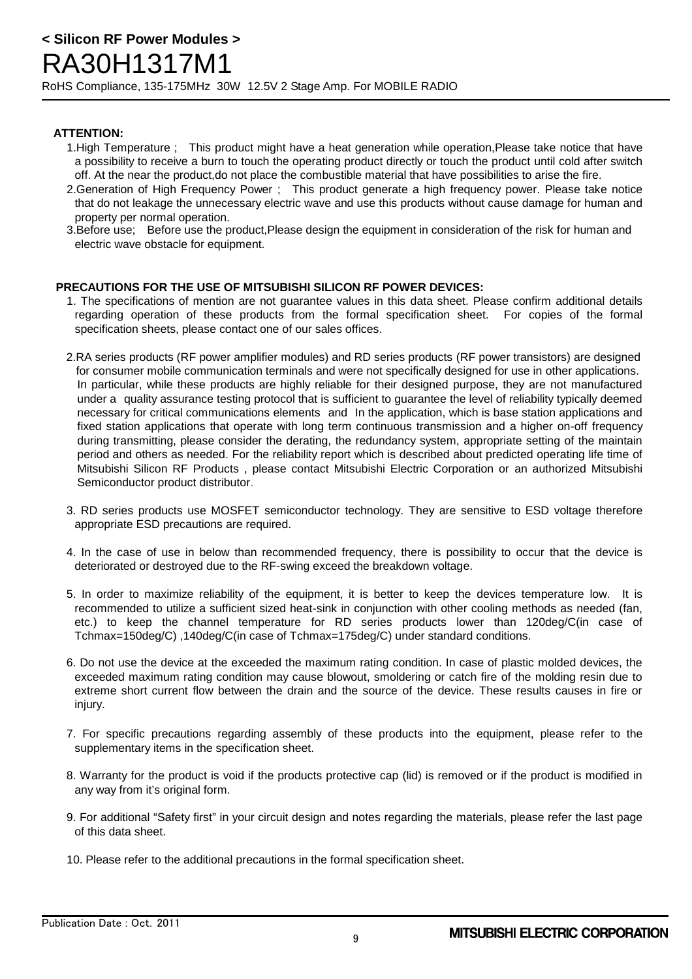## **ATTENTION:**

- 1.High Temperature ; This product might have a heat generation while operation,Please take notice that have a possibility to receive a burn to touch the operating product directly or touch the product until cold after switch off. At the near the product,do not place the combustible material that have possibilities to arise the fire.
- 2.Generation of High Frequency Power ; This product generate a high frequency power. Please take notice that do not leakage the unnecessary electric wave and use this products without cause damage for human and property per normal operation.
- 3.Before use; Before use the product,Please design the equipment in consideration of the risk for human and electric wave obstacle for equipment.

## **PRECAUTIONS FOR THE USE OF MITSUBISHI SILICON RF POWER DEVICES:**

- 1. The specifications of mention are not guarantee values in this data sheet. Please confirm additional details regarding operation of these products from the formal specification sheet. For copies of the formal specification sheets, please contact one of our sales offices.
- 2.RA series products (RF power amplifier modules) and RD series products (RF power transistors) are designed for consumer mobile communication terminals and were not specifically designed for use in other applications. In particular, while these products are highly reliable for their designed purpose, they are not manufactured under a quality assurance testing protocol that is sufficient to guarantee the level of reliability typically deemed necessary for critical communications elements and In the application, which is base station applications and fixed station applications that operate with long term continuous transmission and a higher on-off frequency during transmitting, please consider the derating, the redundancy system, appropriate setting of the maintain period and others as needed. For the reliability report which is described about predicted operating life time of Mitsubishi Silicon RF Products , please contact Mitsubishi Electric Corporation or an authorized Mitsubishi Semiconductor product distributor.
- 3. RD series products use MOSFET semiconductor technology. They are sensitive to ESD voltage therefore appropriate ESD precautions are required.
- 4. In the case of use in below than recommended frequency, there is possibility to occur that the device is deteriorated or destroyed due to the RF-swing exceed the breakdown voltage.
- 5. In order to maximize reliability of the equipment, it is better to keep the devices temperature low. It is recommended to utilize a sufficient sized heat-sink in conjunction with other cooling methods as needed (fan, etc.) to keep the channel temperature for RD series products lower than 120deg/C(in case of Tchmax=150deg/C) ,140deg/C(in case of Tchmax=175deg/C) under standard conditions.
- 6. Do not use the device at the exceeded the maximum rating condition. In case of plastic molded devices, the exceeded maximum rating condition may cause blowout, smoldering or catch fire of the molding resin due to extreme short current flow between the drain and the source of the device. These results causes in fire or injury.
- 7. For specific precautions regarding assembly of these products into the equipment, please refer to the supplementary items in the specification sheet.
- 8. Warranty for the product is void if the products protective cap (lid) is removed or if the product is modified in any way from it's original form.
- 9. For additional "Safety first" in your circuit design and notes regarding the materials, please refer the last page of this data sheet.
- 10. Please refer to the additional precautions in the formal specification sheet.